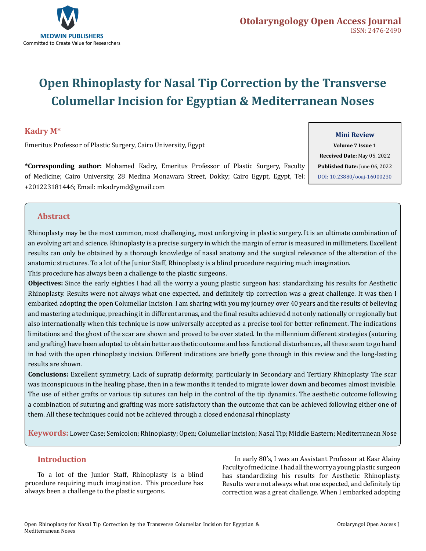

# **Open Rhinoplasty for Nasal Tip Correction by the Transverse Columellar Incision for Egyptian & Mediterranean Noses**

#### **Kadry M\***

Emeritus Professor of Plastic Surgery, Cairo University, Egypt

**\*Corresponding author:** Mohamed Kadry, Emeritus Professor of Plastic Surgery, Faculty of Medicine; Cairo University, 28 Medina Monawara Street, Dokky; Cairo Egypt, Egypt, Tel: +201223181446; Email: mkadrymd@gmail.com

#### **Mini Review**

**Volume 7 Issue 1 Received Date:** May 05, 2022 **Published Date:** June 06, 2022 [DOI: 10.23880/ooaj-16000230](https://doi.org/10.23880/ooaj-16000230)

## **Abstract**

Rhinoplasty may be the most common, most challenging, most unforgiving in plastic surgery. It is an ultimate combination of an evolving art and science. Rhinoplasty is a precise surgery in which the margin of error is measured in millimeters. Excellent results can only be obtained by a thorough knowledge of nasal anatomy and the surgical relevance of the alteration of the anatomic structures. To a lot of the Junior Staff, Rhinoplasty is a blind procedure requiring much imagination. This procedure has always been a challenge to the plastic surgeons.

**Objectives:** Since the early eighties I had all the worry a young plastic surgeon has: standardizing his results for Aesthetic Rhinoplasty. Results were not always what one expected, and definitely tip correction was a great challenge. It was then I embarked adopting the open Columellar Incision. I am sharing with you my journey over 40 years and the results of believing and mastering a technique, preaching it in different arenas, and the final results achieved d not only nationally or regionally but also internationally when this technique is now universally accepted as a precise tool for better refinement. The indications limitations and the ghost of the scar are shown and proved to be over stated. In the millennium different strategies (suturing and grafting) have been adopted to obtain better aesthetic outcome and less functional disturbances, all these seem to go hand in had with the open rhinoplasty incision. Different indications are briefly gone through in this review and the long-lasting results are shown.

**Conclusions:** Excellent symmetry, Lack of supratip deformity, particularly in Secondary and Tertiary Rhinoplasty The scar was inconspicuous in the healing phase, then in a few months it tended to migrate lower down and becomes almost invisible. The use of either grafts or various tip sutures can help in the control of the tip dynamics. The aesthetic outcome following a combination of suturing and grafting was more satisfactory than the outcome that can be achieved following either one of them. All these techniques could not be achieved through a closed endonasal rhinoplasty

**Keywords:** Lower Case; Semicolon; Rhinoplasty; Open; Columellar Incision; Nasal Tip; Middle Eastern; Mediterranean Nose

### **Introduction**

To a lot of the Junior Staff, Rhinoplasty is a blind procedure requiring much imagination. This procedure has always been a challenge to the plastic surgeons.

In early 80's, I was an Assistant Professor at Kasr Alainy Faculty of medicine. I had all the worry a young plastic surgeon has standardizing his results for Aesthetic Rhinoplasty. Results were not always what one expected, and definitely tip correction was a great challenge. When I embarked adopting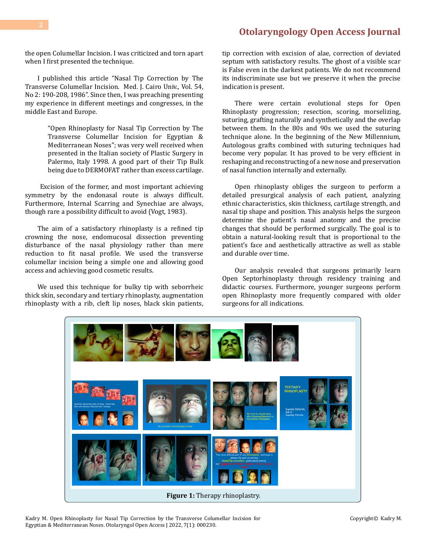## **[Otolaryngology Open Access Journal](https://medwinpublishers.com/OOAJ/)**

the open Columellar Incision. I was criticized and torn apart when I first presented the technique.

I published this article "Nasal Tip Correction by The Transverse Columellar Incision. Med. J. Cairo Univ., Vol. 54, No 2: 190-208, 1986". Since then, I was preaching presenting my experience in different meetings and congresses, in the middle East and Europe.

> "Open Rhinoplasty for Nasal Tip Correction by The Transverse Columellar Incision for Egyptian & Mediterranean Noses"; was very well received when presented in the Italian society of Plastic Surgery in Palermo, Italy 1998. A good part of their Tip Bulk being due to DERMOFAT rather than excess cartilage.

 Excision of the former, and most important achieving symmetry by the endonasal route is always difficult. Furthermore, Internal Scarring and Synechiae are always, though rare a possibility difficult to avoid (Vogt, 1983).

The aim of a satisfactory rhinoplasty is a refined tip crowning the nose, endomucosal dissection preventing disturbance of the nasal physiology rather than mere reduction to fit nasal profile. We used the transverse columellar incision being a simple one and allowing good access and achieving good cosmetic results.

We used this technique for bulky tip with seborrheic thick skin, secondary and tertiary rhinoplasty, augmentation rhinoplasty with a rib, cleft lip noses, black skin patients,

tip correction with excision of alae, correction of deviated septum with satisfactory results. The ghost of a visible scar is False even in the darkest patients. We do not recommend its indiscriminate use but we preserve it when the precise indication is present.

There were certain evolutional steps for Open Rhinoplasty progression; resection, scoring, morselizing, suturing, grafting naturally and synthetically and the overlap between them. In the 80s and 90s we used the suturing technique alone. In the beginning of the New Millennium, Autologous grafts combined with suturing techniques had become very popular. It has proved to be very efficient in reshaping and reconstructing of a new nose and preservation of nasal function internally and externally.

Open rhinoplasty obliges the surgeon to perform a detailed presurgical analysis of each patient, analyzing ethnic characteristics, skin thickness, cartilage strength, and nasal tip shape and position. This analysis helps the surgeon determine the patient's nasal anatomy and the precise changes that should be performed surgically. The goal is to obtain a natural-looking result that is proportional to the patient's face and aesthetically attractive as well as stable and durable over time.

Our analysis revealed that surgeons primarily learn Open Septorhinoplasty through residency training and didactic courses. Furthermore, younger surgeons perform open Rhinoplasty more frequently compared with older surgeons for all indications.



Kadry M. Open Rhinoplasty for Nasal Tip Correction by the Transverse Columellar Incision for Egyptian & Mediterranean Noses. Otolaryngol Open Access J 2022, 7(1): 000230.